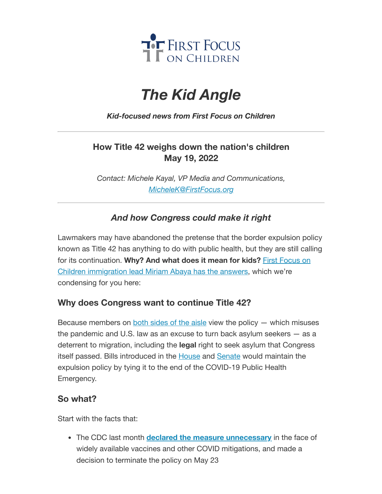

# *The Kid Angle*

#### *Kid-focused news from First Focus on Children*

### **How Title 42 weighs down the nation's children May 19, 2022**

*Contact: Michele Kayal, VP Media and Communications, [MicheleK@FirstFocus.org](mailto:MicheleK@firstfocus.org)*

## *And how Congress could make it right*

Lawmakers may have abandoned the pretense that the border expulsion policy known as Title 42 has anything to do with public health, but they are still calling for [its continuation.](https://action.campaignforchildren.org/r?u=FzF-KU0ygDWc21UK_uySehNvo7jUOrj3b7KGJlTk6g-9ZKIV753zhxNUdnrFlk3KmiK_qetkTgKo6GAOBazbCSqJDDXF_7CFzgmyyfN2avs&e=6d50ef9bac605c372bd31a2e7c9cacfd&utm_source=ffcc&utm_medium=email&utm_campaign=_101_title_42&n=2&test_email=1) **Why? And what does it mean for kids?** First Focus on Children immigration lead Miriam Abaya has the answers, which we're condensing for you here:

#### **Why does Congress want to continue Title 42?**

Because members on both [sides of](https://action.campaignforchildren.org/r?u=BiDEj8yGy-h4To0LUa2PcsZgXOvEDu0UT_BK5hwFU2wFwDDUlI1qkAFMZLvBso1btkiMiJTVwbleV0pp4KfNZaXvoDmqBmzzcMSU2i2eHDGqA6piD3Zc7t-bZzbt-c6S&e=6d50ef9bac605c372bd31a2e7c9cacfd&utm_source=ffcc&utm_medium=email&utm_campaign=_101_title_42&n=3&test_email=1) the aisle view the policy  $-$  which misuses the pandemic and U.S. law as an excuse to turn back asylum seekers — as a deterrent to migration, including the **legal** right to seek asylum that Congress itself passed. Bills introduced in the **[House](https://action.campaignforchildren.org/r?u=VTmj4rzT2IGTecsX4bEyWFXr9B2jhBRrSrOhymPen87Wd5PksTemXzojtpZsIJQKXRN66AteGdErI-4D-6wfrrc6ixsSacj5NK3Agf9SpuQ&e=6d50ef9bac605c372bd31a2e7c9cacfd&utm_source=ffcc&utm_medium=email&utm_campaign=_101_title_42&n=4&test_email=1) and [Senate](https://action.campaignforchildren.org/r?u=VTmj4rzT2IGTecsX4bEyWFXr9B2jhBRrSrOhymPen844EFzk6IU5IMICU_-7J6ehQMlPET8Yc1RLuQ0-E9bqLs1-F152tKFNHW-hurwLkH8&e=6d50ef9bac605c372bd31a2e7c9cacfd&utm_source=ffcc&utm_medium=email&utm_campaign=_101_title_42&n=5&test_email=1)** would maintain the expulsion policy by tying it to the end of the COVID-19 Public Health Emergency.

#### **So what?**

Start with the facts that:

The CDC last month **declared the measure [unnecessary](https://action.campaignforchildren.org/r?u=7Ho65PobbrrlpD_Ow9Pq__gbxuyf3hvxwdfnUq53ISVdwm8DvylTRP5f_D_D7SZO7jghSExgAI7FcKDQMXaj-w&e=6d50ef9bac605c372bd31a2e7c9cacfd&utm_source=ffcc&utm_medium=email&utm_campaign=_101_title_42&n=6&test_email=1)** in the face of widely available vaccines and other COVID mitigations, and made a decision to terminate the policy on May 23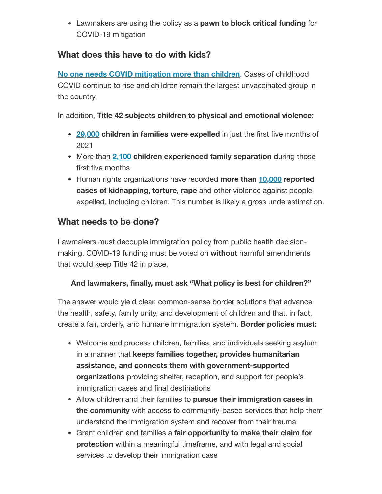Lawmakers are using the policy as a **pawn to block critical funding** for COVID-19 mitigation

#### **What does this have to do with kids?**

**No one needs COVID [mitigation](https://action.campaignforchildren.org/r?u=FzF-KU0ygDWc21UK_uySejzGzcNIqw_uw330mZshTahPPp1lwaORfFmWDVdBbnuzR7AsWZV1fRUKi-gRu7Dvu2lQlF6h6dKGa8LFMr5qlRc&e=6d50ef9bac605c372bd31a2e7c9cacfd&utm_source=ffcc&utm_medium=email&utm_campaign=_101_title_42&n=7&test_email=1) more than children**. Cases of childhood COVID continue to rise and children remain the largest unvaccinated group in the country.

In addition, **Title 42 subjects children to physical and emotional violence:**

- **[29,000](https://action.campaignforchildren.org/r?u=SZKVlGx1onj1sPVR1hUoGXeGoxl3pdtTxjTtbRvNcA-TPhfN265kyqEQ4E-K94EPp33ZEAXBIxATob4vV9PojrmR_PALx4gZyTSrzZ__IU6brgNrlGKWUkGFxy-yDzXb&e=6d50ef9bac605c372bd31a2e7c9cacfd&utm_source=ffcc&utm_medium=email&utm_campaign=_101_title_42&n=8&test_email=1) children in families were expelled** in just the first five months of 2021
- More than **[2,100](https://action.campaignforchildren.org/r?u=BiDEj8yGy-h4To0LUa2Pcp-tt0D7tq4zvCrWq8EpWN8zRgHn3i9hliq44YEC7SitsoJEb4kguIRW9NlGLIqX2jQOOzKlLbVJlAhGIEeAhWI&e=6d50ef9bac605c372bd31a2e7c9cacfd&utm_source=ffcc&utm_medium=email&utm_campaign=_101_title_42&n=9&test_email=1) children experienced family separation** during those first five months
- Human rights organizations have recorded **more than [10,000](https://action.campaignforchildren.org/r?u=SZKVlGx1onj1sPVR1hUoGXeGoxl3pdtTxjTtbRvNcA-TPhfN265kyqEQ4E-K94EPqbaCNXW-h0RvFgScKc2pd8lVDZpfjwFVOT-lULd6niw&e=6d50ef9bac605c372bd31a2e7c9cacfd&utm_source=ffcc&utm_medium=email&utm_campaign=_101_title_42&n=10&test_email=1) reported cases of kidnapping, torture, rape** and other violence against people expelled, including children. This number is likely a gross underestimation.

#### **What needs to be done?**

Lawmakers must decouple immigration policy from public health decisionmaking. COVID-19 funding must be voted on **without** harmful amendments that would keep Title 42 in place.

#### **And lawmakers, finally, must ask "What policy is best for children?"**

The answer would yield clear, common-sense border solutions that advance the health, safety, family unity, and development of children and that, in fact, create a fair, orderly, and humane immigration system. **Border policies must:**

- Welcome and process children, families, and individuals seeking asylum in a manner that **keeps families together, provides humanitarian assistance, and connects them with government-supported organizations** providing shelter, reception, and support for people's immigration cases and final destinations
- Allow children and their families to **pursue their immigration cases in the community** with access to community-based services that help them understand the immigration system and recover from their trauma
- Grant children and families a **fair opportunity to make their claim for protection** within a meaningful timeframe, and with legal and social services to develop their immigration case